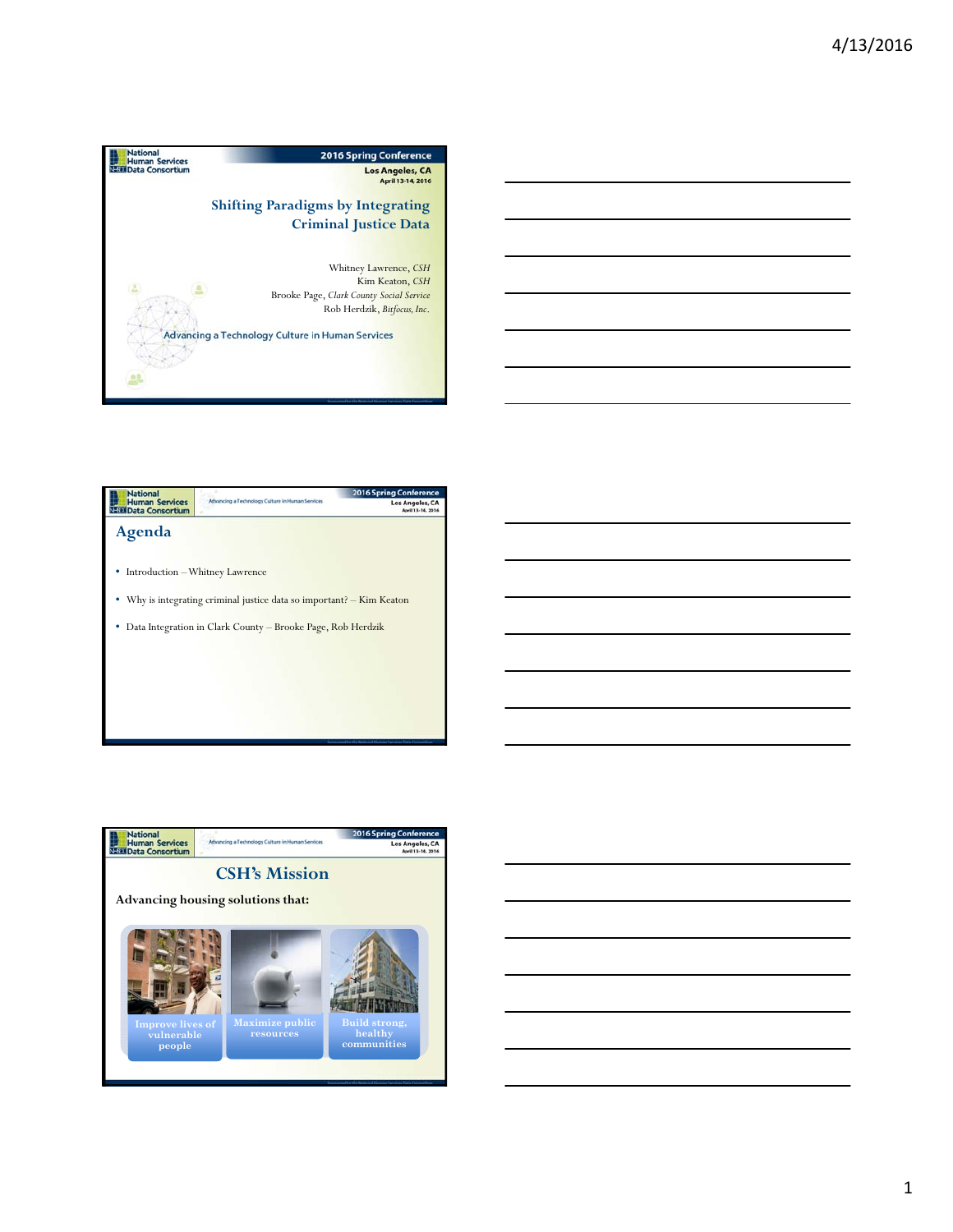







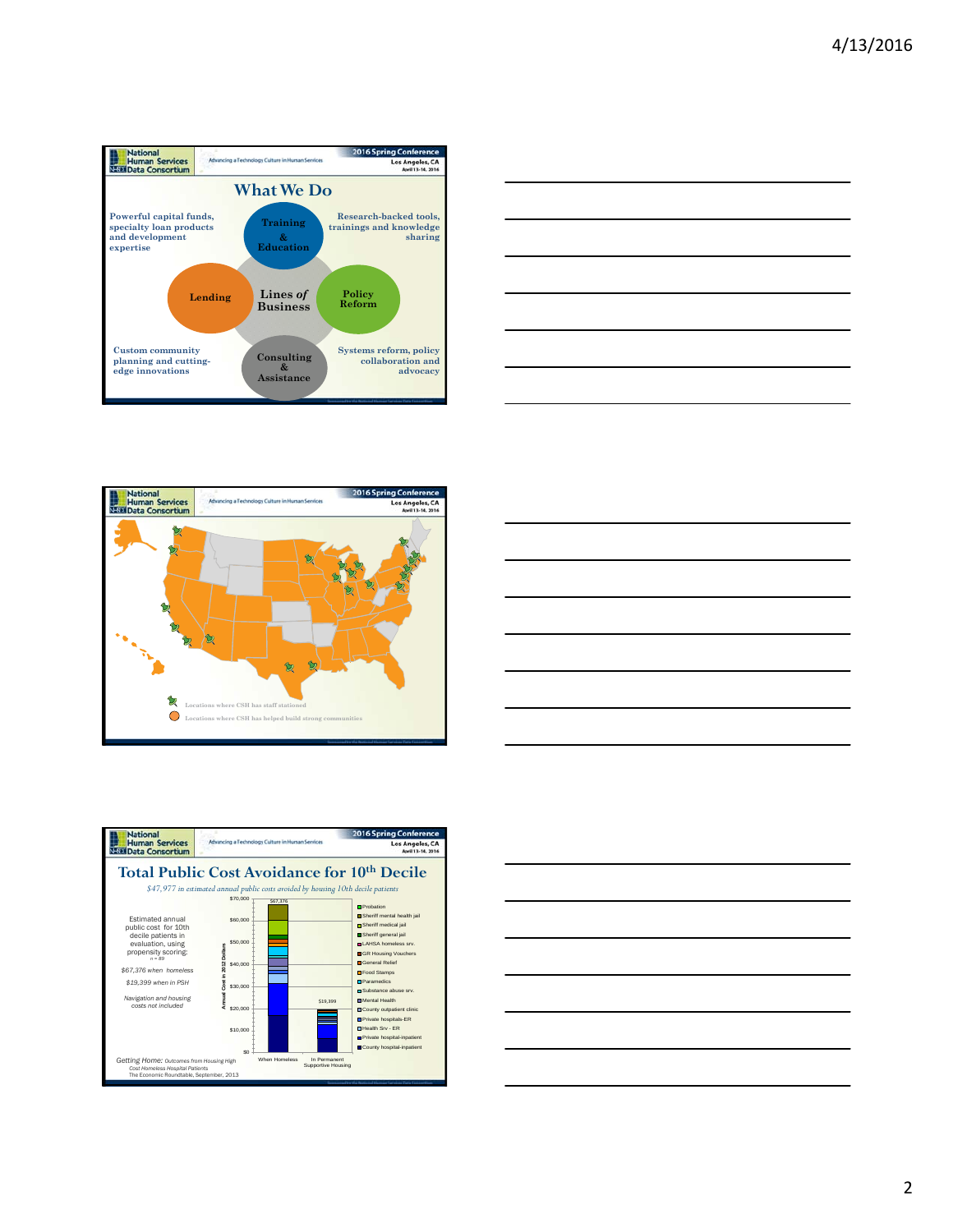









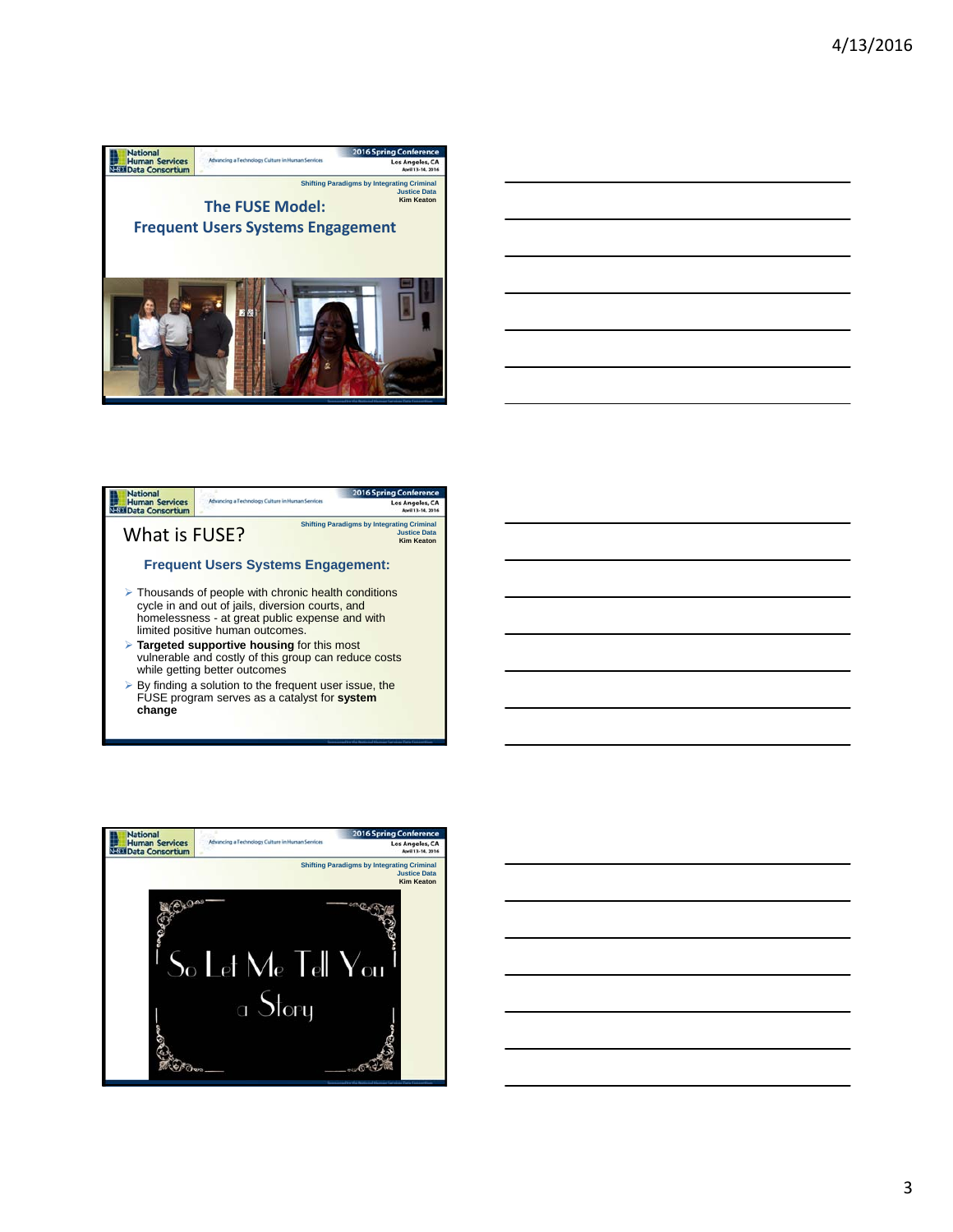





By finding a solution to the frequent user issue, the FUSE program serves as a catalyst for **system change**

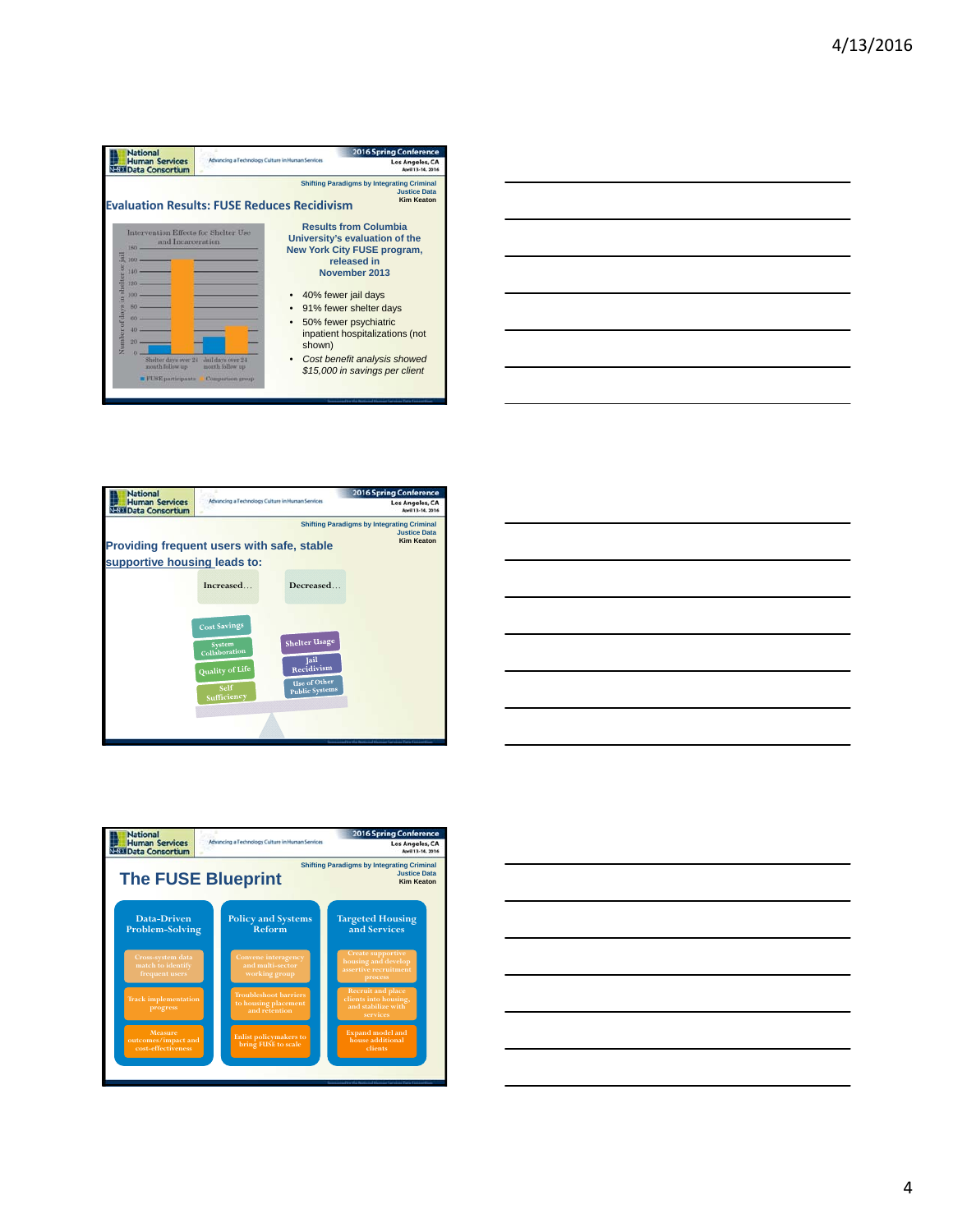









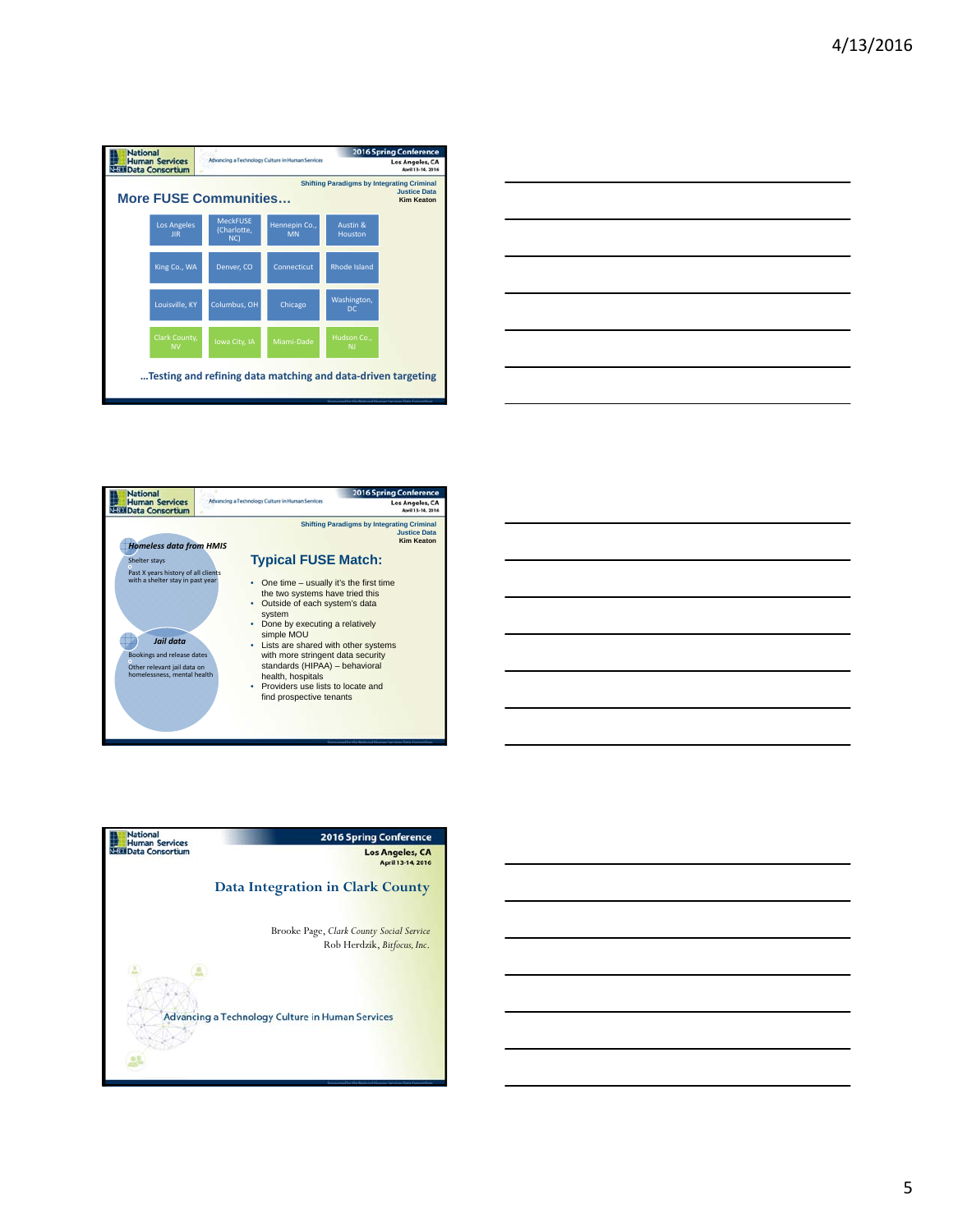| <b>National</b><br><b>Human Services</b><br><b>NESE Data Consortium</b>                                                       |                                  | Advancing a Technology Culture in Human Services |                            | <b>2016 Spring Conference</b><br>Los Angeles, CA<br>April 13-14, 2016 |  |  |  |
|-------------------------------------------------------------------------------------------------------------------------------|----------------------------------|--------------------------------------------------|----------------------------|-----------------------------------------------------------------------|--|--|--|
| <b>Shifting Paradigms by Integrating Criminal</b><br><b>Justice Data</b><br><b>More FUSE Communities</b><br><b>Kim Keaton</b> |                                  |                                                  |                            |                                                                       |  |  |  |
|                                                                                                                               | <b>Los Angeles</b><br><b>IIR</b> | <b>MeckFUSF</b><br>(Charlotte,<br>NC             | Hennepin Co.,<br><b>MN</b> | Austin &<br>Houston                                                   |  |  |  |
|                                                                                                                               | King Co., WA                     | Denver, CO                                       | Connecticut                | <b>Rhode Island</b>                                                   |  |  |  |
|                                                                                                                               | Louisville, KY                   | Columbus, OH                                     | Chicago                    | Washington,<br>DC.                                                    |  |  |  |
|                                                                                                                               | Clark County,<br><b>NV</b>       | Iowa City, IA                                    | Miami-Dade                 | Hudson Co.,<br><b>NI</b>                                              |  |  |  |
| Testing and refining data matching and data-driven targeting                                                                  |                                  |                                                  |                            |                                                                       |  |  |  |





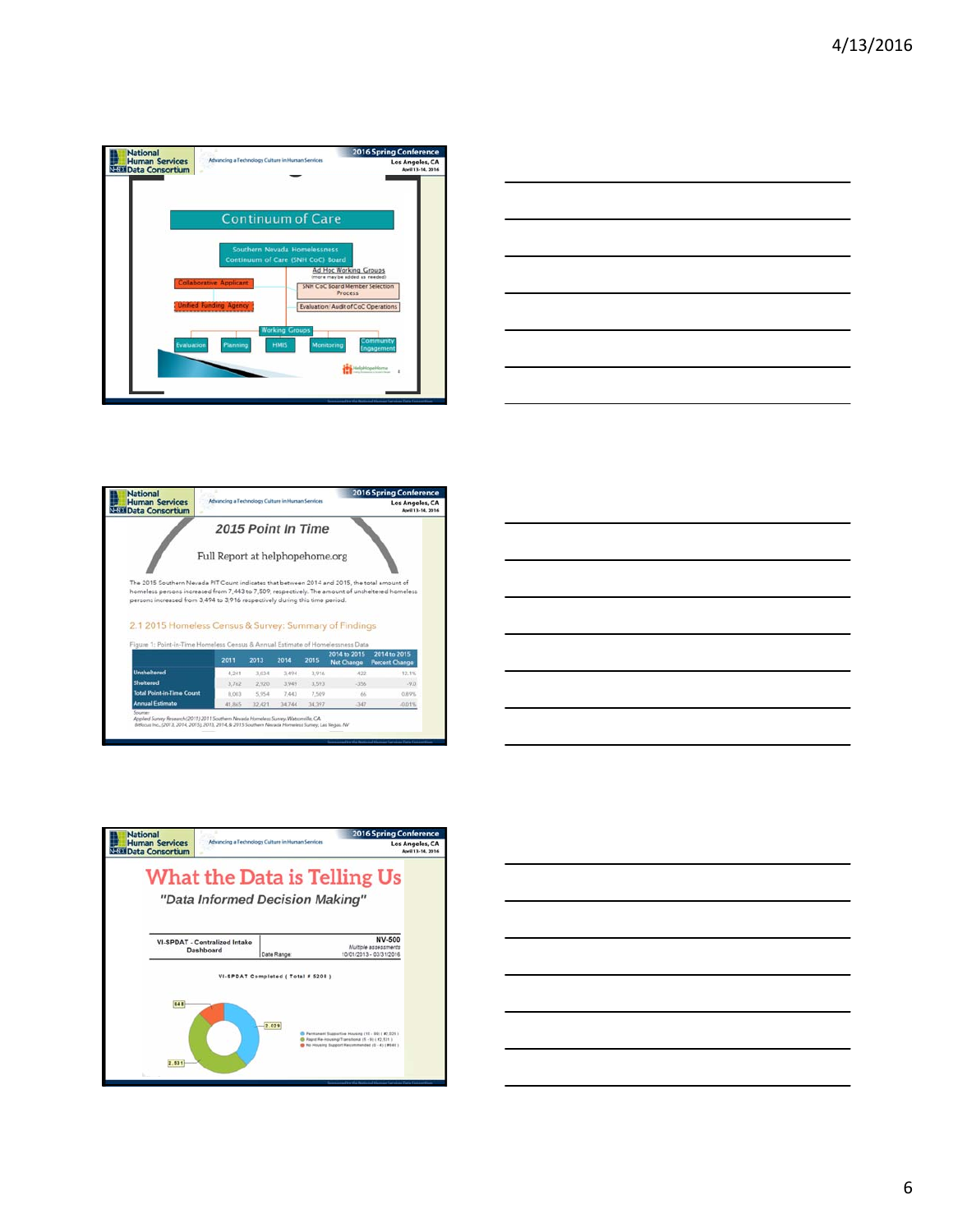| <b>National</b>                                      | Advancing a Technology Culture in Human Services                                                                                                                                                                                | <b>2016 Spring Conference</b>                                                                                                                                                                              |
|------------------------------------------------------|---------------------------------------------------------------------------------------------------------------------------------------------------------------------------------------------------------------------------------|------------------------------------------------------------------------------------------------------------------------------------------------------------------------------------------------------------|
| <b>Human Services</b><br><b>NESE Data Consortium</b> |                                                                                                                                                                                                                                 | Los Angeles, CA<br>April 13-14, 2016                                                                                                                                                                       |
| Evaluation                                           | <b>Continuum of Care</b><br>Southern Nevada Homelessness<br>Continuum of Care (SNH CoC) Board<br><b>Haborative Applicant</b><br><b>Unified Funding Agency</b><br><b>Working Groups</b><br><b>HMIS</b><br>Monitoring<br>Planning | Ad Hoc Working Groups<br>(more may be added as needed)<br><b>SNH CoC Board Member Selection</b><br>Process<br><b>Evaluation/Audit of CoC Operations</b><br><b>ommunity</b><br>Engagement<br>Helphtopehlome |
|                                                      |                                                                                                                                                                                                                                 |                                                                                                                                                                                                            |









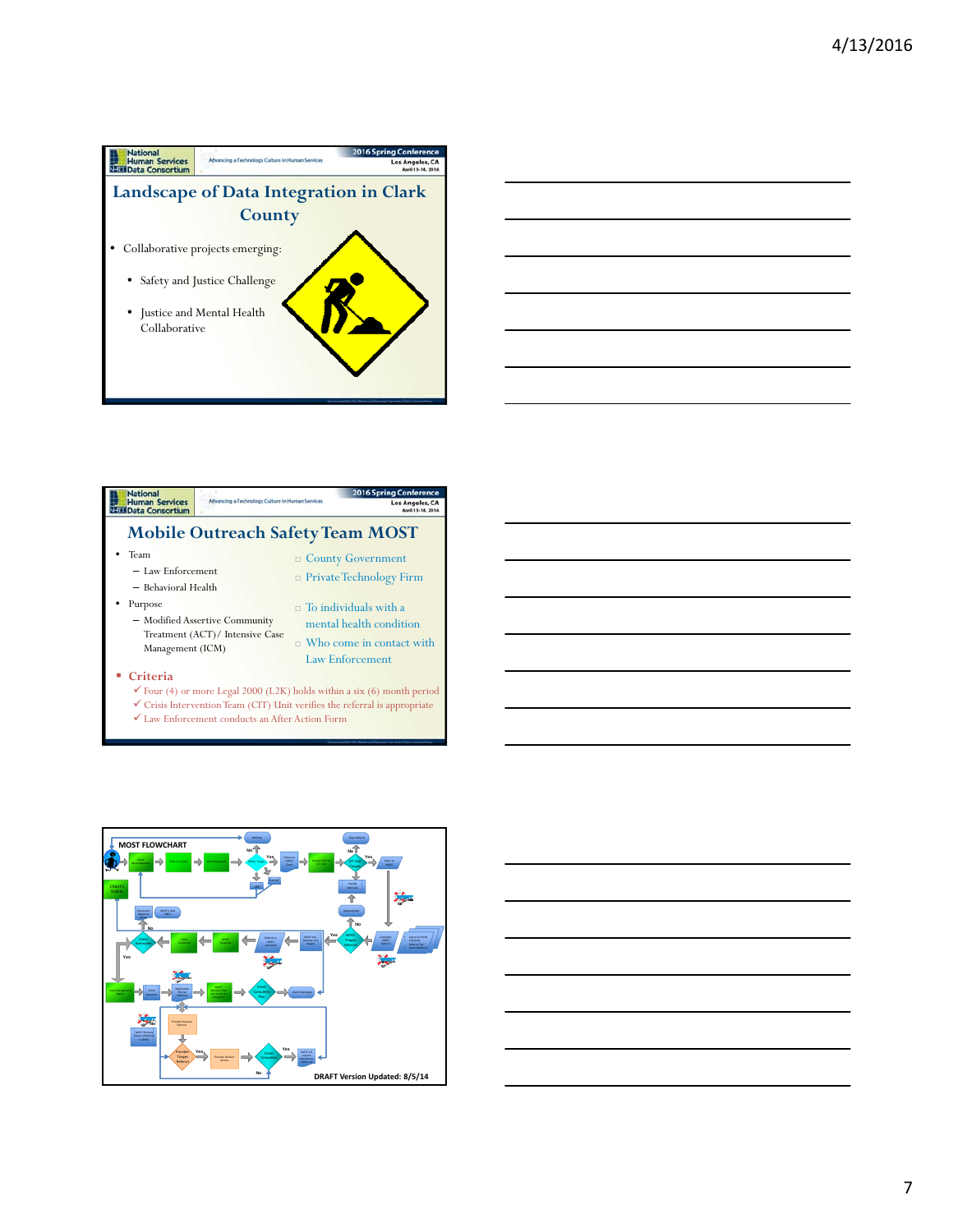



## **National**<br>Human Services<br>Nata Data Consortium ng Cont Los Angeles, CA **Mobile Outreach Safety Team MOST** • Team County Government – Law Enforcement Private Technology Firm – Behavioral Health • Purpose  $\Box$  To individuals with a – Modified Assertive Community mental health condition Treatment (ACT)/ Intensive Case  $\Box$  Who come in contact with Management (ICM) Law Enforcement

## **Criteria**

 $\checkmark$  Four (4) or more Legal 2000 (L2K) holds within a six (6) month period  $\checkmark$  Crisis Intervention Team (CIT) Unit verifies the referral is appropriate  $\checkmark$  Law Enforcement conducts an After Action Form



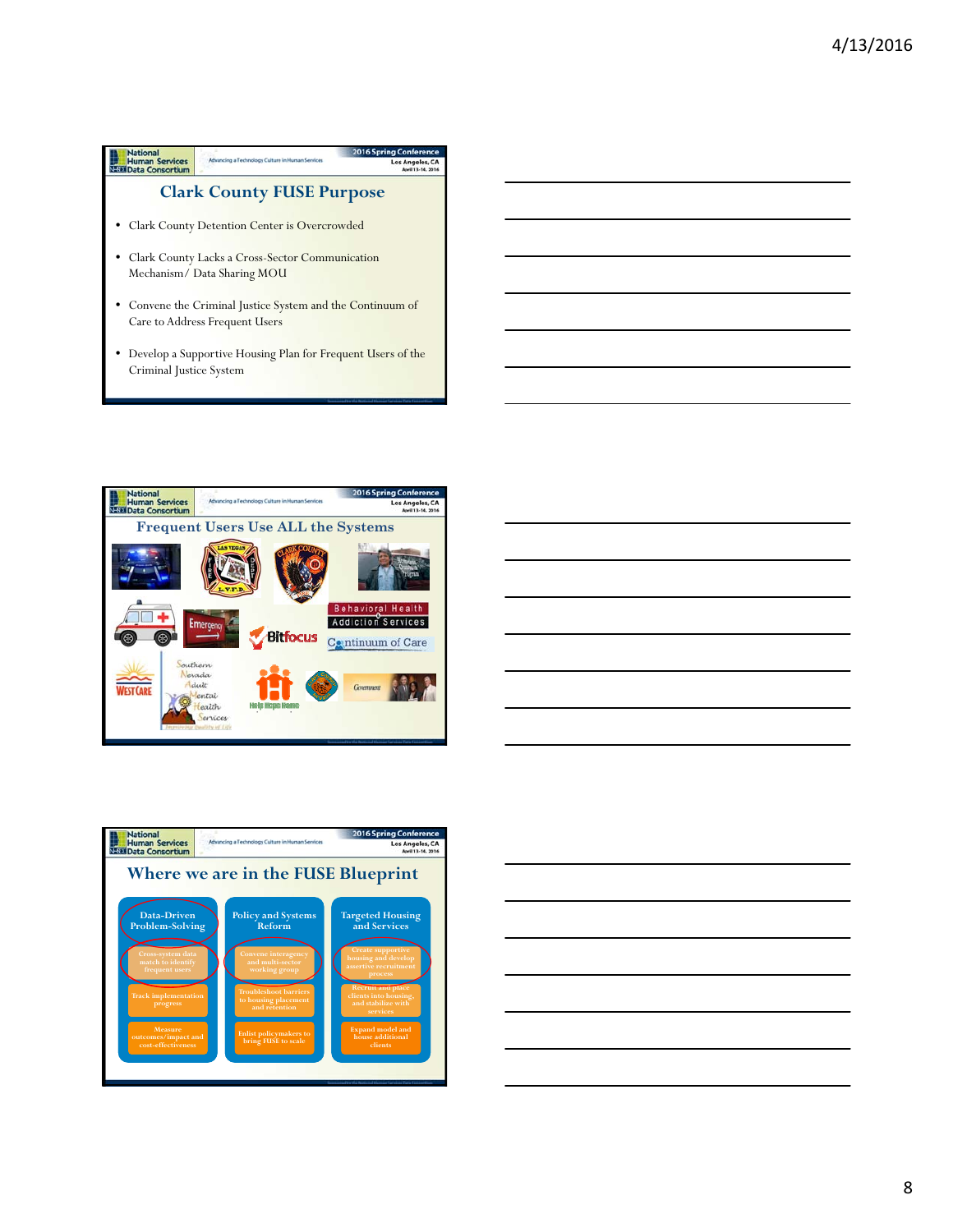









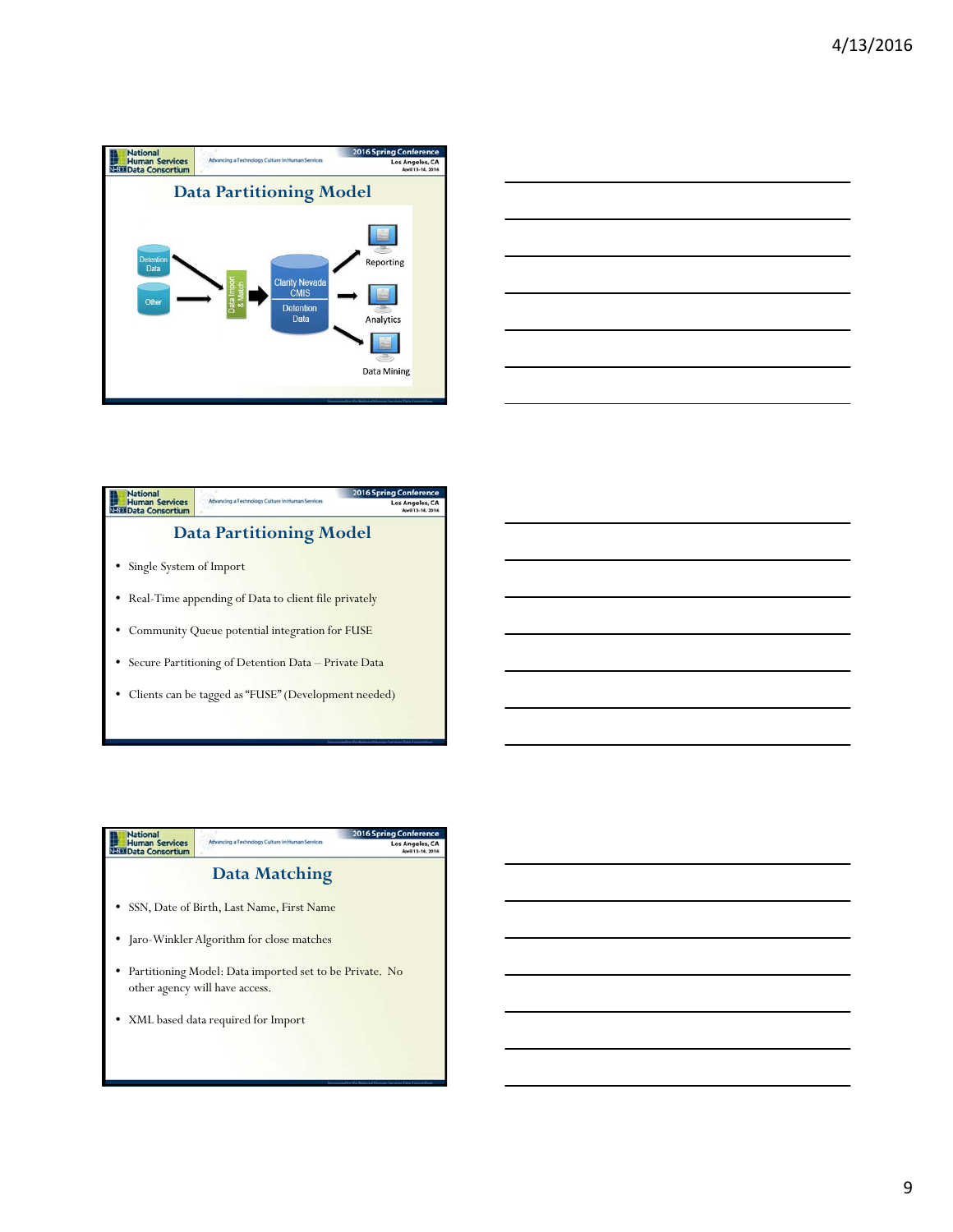